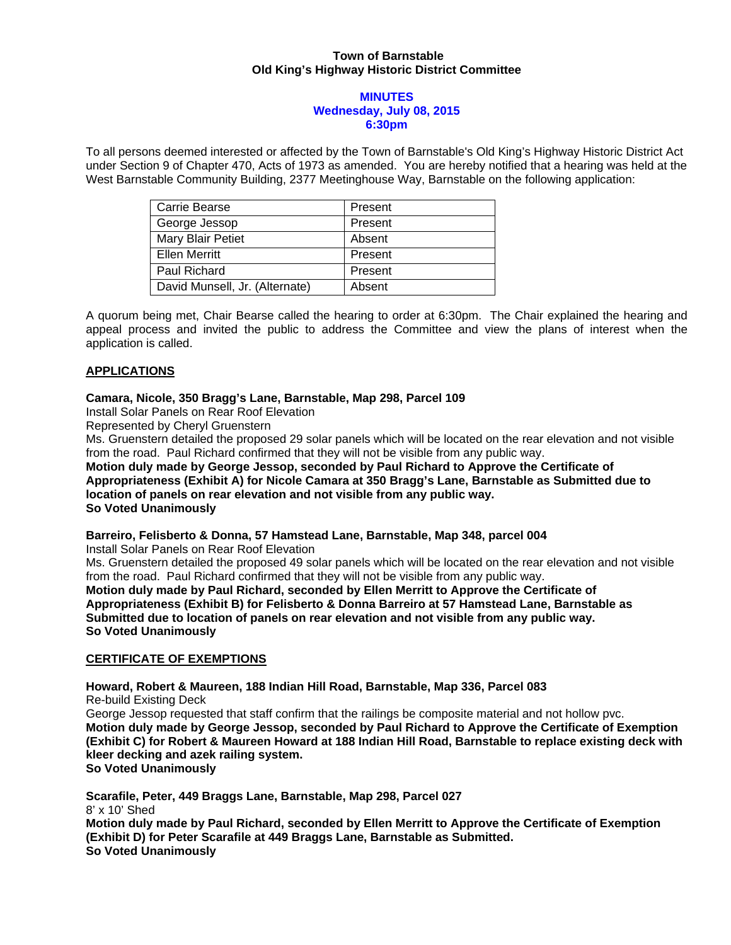### **Town of Barnstable Old King's Highway Historic District Committee**

#### **MINUTES Wednesday, July 08, 2015 6:30pm**

To all persons deemed interested or affected by the Town of Barnstable's Old King's Highway Historic District Act under Section 9 of Chapter 470, Acts of 1973 as amended. You are hereby notified that a hearing was held at the West Barnstable Community Building, 2377 Meetinghouse Way, Barnstable on the following application:

| Carrie Bearse                  | Present |
|--------------------------------|---------|
| George Jessop                  | Present |
| Mary Blair Petiet              | Absent  |
| <b>Ellen Merritt</b>           | Present |
| Paul Richard                   | Present |
| David Munsell, Jr. (Alternate) | Absent  |

A quorum being met, Chair Bearse called the hearing to order at 6:30pm. The Chair explained the hearing and appeal process and invited the public to address the Committee and view the plans of interest when the application is called.

### **APPLICATIONS**

#### **Camara, Nicole, 350 Bragg's Lane, Barnstable, Map 298, Parcel 109**

Install Solar Panels on Rear Roof Elevation

Represented by Cheryl Gruenstern

Ms. Gruenstern detailed the proposed 29 solar panels which will be located on the rear elevation and not visible from the road. Paul Richard confirmed that they will not be visible from any public way.

**Motion duly made by George Jessop, seconded by Paul Richard to Approve the Certificate of Appropriateness (Exhibit A) for Nicole Camara at 350 Bragg's Lane, Barnstable as Submitted due to location of panels on rear elevation and not visible from any public way. So Voted Unanimously** 

# **Barreiro, Felisberto & Donna, 57 Hamstead Lane, Barnstable, Map 348, parcel 004**

Install Solar Panels on Rear Roof Elevation

Ms. Gruenstern detailed the proposed 49 solar panels which will be located on the rear elevation and not visible from the road. Paul Richard confirmed that they will not be visible from any public way. **Motion duly made by Paul Richard, seconded by Ellen Merritt to Approve the Certificate of Appropriateness (Exhibit B) for Felisberto & Donna Barreiro at 57 Hamstead Lane, Barnstable as** 

**Submitted due to location of panels on rear elevation and not visible from any public way. So Voted Unanimously** 

## **CERTIFICATE OF EXEMPTIONS**

**Howard, Robert & Maureen, 188 Indian Hill Road, Barnstable, Map 336, Parcel 083**  Re-build Existing Deck George Jessop requested that staff confirm that the railings be composite material and not hollow pvc. **Motion duly made by George Jessop, seconded by Paul Richard to Approve the Certificate of Exemption (Exhibit C) for Robert & Maureen Howard at 188 Indian Hill Road, Barnstable to replace existing deck with kleer decking and azek railing system. So Voted Unanimously** 

**Scarafile, Peter, 449 Braggs Lane, Barnstable, Map 298, Parcel 027**  8' x 10' Shed **Motion duly made by Paul Richard, seconded by Ellen Merritt to Approve the Certificate of Exemption (Exhibit D) for Peter Scarafile at 449 Braggs Lane, Barnstable as Submitted. So Voted Unanimously**